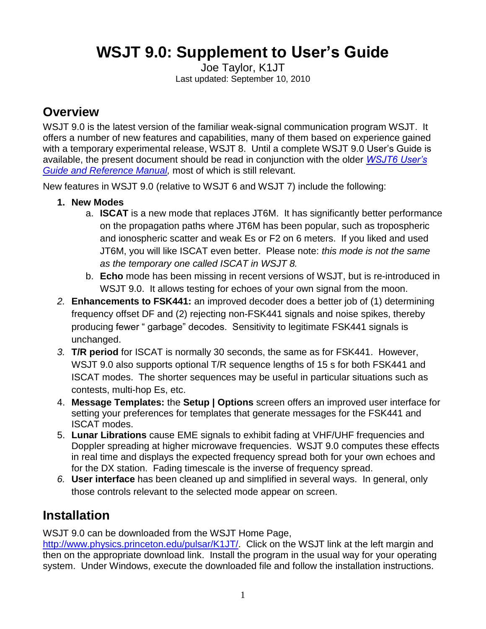# **WSJT 9.0: Supplement to User's Guide**

Joe Taylor, K1JT Last updated: September 10, 2010

#### **Overview**

WSJT 9.0 is the latest version of the familiar weak-signal communication program WSJT. It offers a number of new features and capabilities, many of them based on experience gained with a temporary experimental release, WSJT 8. Until a complete WSJT 9.0 User's Guide is available, the present document should be read in conjunction with the older *[WSJT6 User's](http://www.physics.princeton.edu/pulsar/K1JT/WSJT_User_600.pdf)  Guide and Reference Manual*, most of which is still relevant.

New features in WSJT 9.0 (relative to WSJT 6 and WSJT 7) include the following:

#### **1. New Modes**

- a. **ISCAT** is a new mode that replaces JT6M. It has significantly better performance on the propagation paths where JT6M has been popular, such as tropospheric and ionospheric scatter and weak Es or F2 on 6 meters. If you liked and used JT6M, you will like ISCAT even better. Please note: *this mode is not the same as the temporary one called ISCAT in WSJT 8.*
- b. **Echo** mode has been missing in recent versions of WSJT, but is re-introduced in WSJT 9.0. It allows testing for echoes of your own signal from the moon.
- *2.* **Enhancements to FSK441:** an improved decoder does a better job of (1) determining frequency offset DF and (2) rejecting non-FSK441 signals and noise spikes, thereby producing fewer "garbage" decodes. Sensitivity to legitimate FSK441 signals is unchanged.
- *3.* **T/R period** for ISCAT is normally 30 seconds, the same as for FSK441. However, WSJT 9.0 also supports optional T/R sequence lengths of 15 s for both FSK441 and ISCAT modes. The shorter sequences may be useful in particular situations such as contests, multi-hop Es, etc.
- 4. **Message Templates:** the **Setup | Options** screen offers an improved user interface for setting your preferences for templates that generate messages for the FSK441 and ISCAT modes.
- 5. **Lunar Librations** cause EME signals to exhibit fading at VHF/UHF frequencies and Doppler spreading at higher microwave frequencies. WSJT 9.0 computes these effects in real time and displays the expected frequency spread both for your own echoes and for the DX station. Fading timescale is the inverse of frequency spread.
- *6.* **User interface** has been cleaned up and simplified in several ways. In general, only those controls relevant to the selected mode appear on screen.

### **Installation**

WSJT 9.0 can be downloaded from the WSJT Home Page,

[http://www.physics.princeton.edu/pulsar/K1JT/.](http://www.physics.princeton.edu/pulsar/K1JT/) Click on the WSJT link at the left margin and then on the appropriate download link. Install the program in the usual way for your operating system. Under Windows, execute the downloaded file and follow the installation instructions.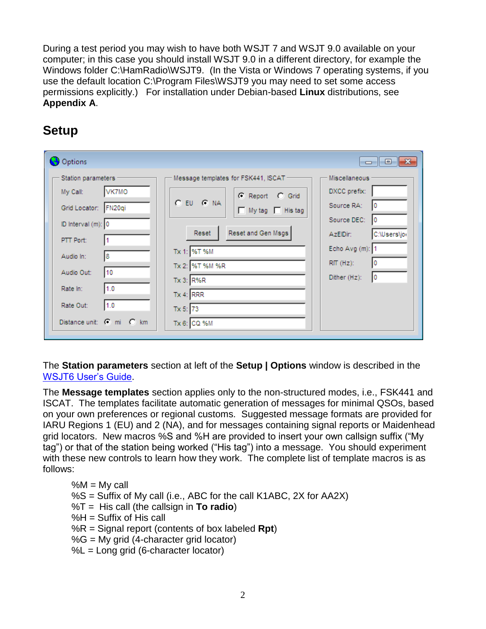During a test period you may wish to have both WSJT 7 and WSJT 9.0 available on your computer; in this case you should install WSJT 9.0 in a different directory, for example the Windows folder C:\HamRadio\WSJT9. (In the Vista or Windows 7 operating systems, if you use the default location C:\Program Files\WSJT9 you may need to set some access permissions explicitly.) For installation under Debian-based **Linux** distributions, see **Appendix A**.

# **Setup**

| Options                                                                                                                                                                                                            |                                                                                                                                                                                                                              | $\Box$ $\Box$ $\mathbf{x}$                                                                                                                                  |
|--------------------------------------------------------------------------------------------------------------------------------------------------------------------------------------------------------------------|------------------------------------------------------------------------------------------------------------------------------------------------------------------------------------------------------------------------------|-------------------------------------------------------------------------------------------------------------------------------------------------------------|
| Station parameters<br>VK7MO<br>My Call:<br>Grid Locator: FN20qi<br>ID Interval (m): 0<br>PTT Port:<br>11<br>18<br>Audio In:<br>10<br>Audio Out:<br>1.0<br>Rate In:<br>1.0<br>Rate Out:<br>Distance unit: C mi C km | Message templates for FSK441, ISCAT<br>C Report C Grid<br>$C$ EU $C$ NA<br>$\Box$ My tag $\Box$ His tag<br>Reset and Gen Msgs<br>Reset<br>Tx 1: %T %M<br>Tx 2: %T %M %R<br>Tx 3: R%R<br>Tx 4: RRR<br>Tx 5: 73<br>Tx 6: CQ %M | <b>Miscellaneous</b><br>DXCC prefix:<br>Source RA:<br>Source DEC:<br>10<br>C:\Users\jor<br>AzEIDir:<br>Echo Avg (m): 1<br>$RIT(Hz)$ :<br>Dither (Hz):<br>10 |

The **Station parameters** section at left of the **Setup | Options** window is described in the [WSJT6 User's Guide.](http://www.physics.princeton.edu/pulsar/K1JT/WSJT_User_600.pdf)

The **Message templates** section applies only to the non-structured modes, i.e., FSK441 and ISCAT. The templates facilitate automatic generation of messages for minimal QSOs, based on your own preferences or regional customs. Suggested message formats are provided for IARU Regions 1 (EU) and 2 (NA), and for messages containing signal reports or Maidenhead grid locators. New macros %S and %H are provided to insert your own callsign suffix ("My tag") or that of the station being worked ("His tag") into a message. You should experiment with these new controls to learn how they work. The complete list of template macros is as follows:

- $%M = My$  call %S = Suffix of My call (i.e., ABC for the call K1ABC, 2X for AA2X) %T = His call (the callsign in **To radio**)  $%H =$  Suffix of His call %R = Signal report (contents of box labeled **Rpt**)  $%G = My$  grid (4-character grid locator)
- $%L = Long$  grid (6-character locator)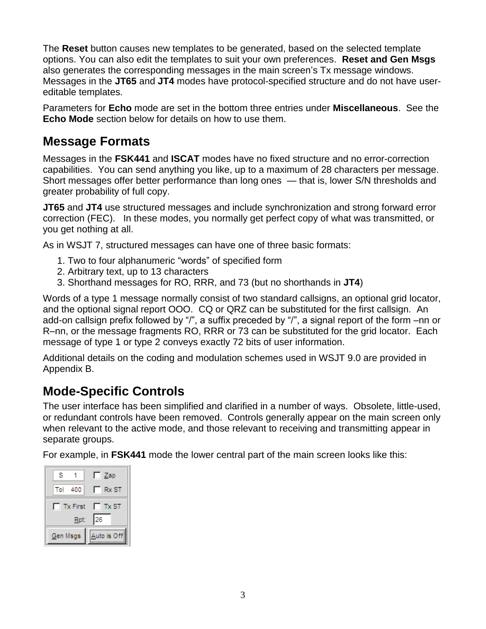The **Reset** button causes new templates to be generated, based on the selected template options. You can also edit the templates to suit your own preferences. **Reset and Gen Msgs** also generates the corresponding messages in the main screen's Tx message windows. Messages in the **JT65** and **JT4** modes have protocol-specified structure and do not have usereditable templates.

Parameters for **Echo** mode are set in the bottom three entries under **Miscellaneous**. See the **Echo Mode** section below for details on how to use them.

### **Message Formats**

Messages in the **FSK441** and **ISCAT** modes have no fixed structure and no error-correction capabilities. You can send anything you like, up to a maximum of 28 characters per message. Short messages offer better performance than long ones — that is, lower S/N thresholds and greater probability of full copy.

**JT65** and **JT4** use structured messages and include synchronization and strong forward error correction (FEC). In these modes, you normally get perfect copy of what was transmitted, or you get nothing at all.

As in WSJT 7, structured messages can have one of three basic formats:

- 1. Two to four alphanumeric "words" of specified form
- 2. Arbitrary text, up to 13 characters
- 3. Shorthand messages for RO, RRR, and 73 (but no shorthands in **JT4**)

Words of a type 1 message normally consist of two standard callsigns, an optional grid locator, and the optional signal report OOO. CQ or QRZ can be substituted for the first callsign. An add-on callsign prefix followed by "/", a suffix preceded by "/", a signal report of the form –nn or R–nn, or the message fragments RO, RRR or 73 can be substituted for the grid locator. Each message of type 1 or type 2 conveys exactly 72 bits of user information.

Additional details on the coding and modulation schemes used in WSJT 9.0 are provided in Appendix B.

### **Mode-Specific Controls**

The user interface has been simplified and clarified in a number of ways. Obsolete, little-used, or redundant controls have been removed. Controls generally appear on the main screen only when relevant to the active mode, and those relevant to receiving and transmitting appear in separate groups.

For example, in **FSK441** mode the lower central part of the main screen looks like this:

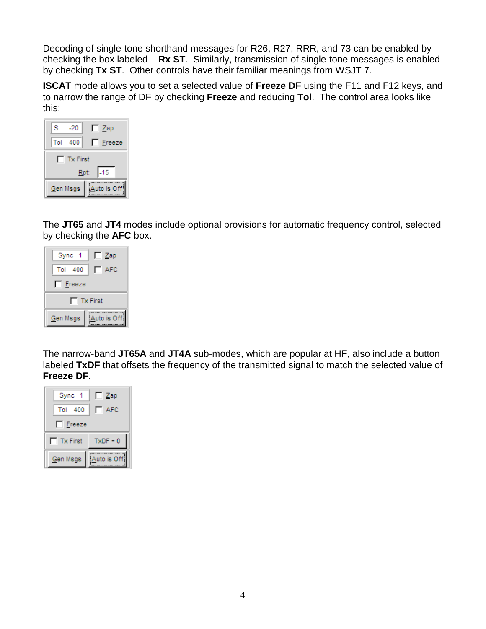Decoding of single-tone shorthand messages for R26, R27, RRR, and 73 can be enabled by checking the box labeled **Rx ST**. Similarly, transmission of single-tone messages is enabled by checking **Tx ST**. Other controls have their familiar meanings from WSJT 7.

**ISCAT** mode allows you to set a selected value of **Freeze DF** using the F11 and F12 keys, and to narrow the range of DF by checking **Freeze** and reducing **Tol**. The control area looks like this:

| s                       |  | -20     | $\Box$ Zap    |  |  |  |  |
|-------------------------|--|---------|---------------|--|--|--|--|
|                         |  | Tol 400 | $\Box$ Freeze |  |  |  |  |
| $\Box$ Tx First         |  |         |               |  |  |  |  |
| $-15$<br>Rpt:           |  |         |               |  |  |  |  |
| Auto is Off<br>Gen Msgs |  |         |               |  |  |  |  |

The **JT65** and **JT4** modes include optional provisions for automatic frequency control, selected by checking the **AFC** box.



The narrow-band **JT65A** and **JT4A** sub-modes, which are popular at HF, also include a button labeled **TxDF** that offsets the frequency of the transmitted signal to match the selected value of **Freeze DF**.

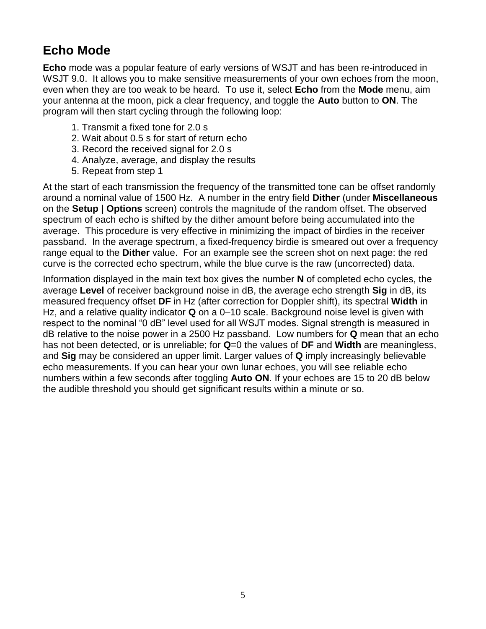### **Echo Mode**

**Echo** mode was a popular feature of early versions of WSJT and has been re-introduced in WSJT 9.0. It allows you to make sensitive measurements of your own echoes from the moon, even when they are too weak to be heard. To use it, select **Echo** from the **Mode** menu, aim your antenna at the moon, pick a clear frequency, and toggle the **Auto** button to **ON**. The program will then start cycling through the following loop:

- 1. Transmit a fixed tone for 2.0 s
- 2. Wait about 0.5 s for start of return echo
- 3. Record the received signal for 2.0 s
- 4. Analyze, average, and display the results
- 5. Repeat from step 1

At the start of each transmission the frequency of the transmitted tone can be offset randomly around a nominal value of 1500 Hz. A number in the entry field **Dither** (under **Miscellaneous** on the **Setup | Options** screen) controls the magnitude of the random offset. The observed spectrum of each echo is shifted by the dither amount before being accumulated into the average. This procedure is very effective in minimizing the impact of birdies in the receiver passband. In the average spectrum, a fixed-frequency birdie is smeared out over a frequency range equal to the **Dither** value. For an example see the screen shot on next page: the red curve is the corrected echo spectrum, while the blue curve is the raw (uncorrected) data.

Information displayed in the main text box gives the number **N** of completed echo cycles, the average **Level** of receiver background noise in dB, the average echo strength **Sig** in dB, its measured frequency offset **DF** in Hz (after correction for Doppler shift), its spectral **Width** in Hz, and a relative quality indicator **Q** on a 0–10 scale. Background noise level is given with respect to the nominal "0 dB" level used for all WSJT modes. Signal strength is measured in dB relative to the noise power in a 2500 Hz passband. Low numbers for **Q** mean that an echo has not been detected, or is unreliable; for **Q**=0 the values of **DF** and **Width** are meaningless, and **Sig** may be considered an upper limit. Larger values of **Q** imply increasingly believable echo measurements. If you can hear your own lunar echoes, you will see reliable echo numbers within a few seconds after toggling **Auto ON**. If your echoes are 15 to 20 dB below the audible threshold you should get significant results within a minute or so.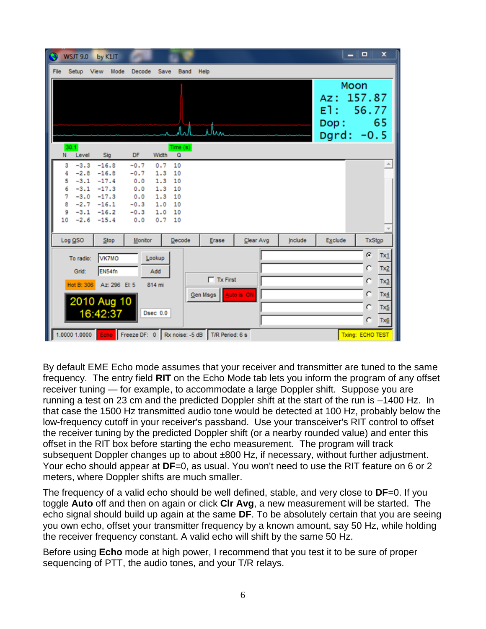| <b>WSJT 9.0</b>                       |                                                                                          | by K1JT                                                        |                                                                  |                                                      |                                              |                                          |           |         |                    | $\Box$<br>- 1                           | $\boldsymbol{\mathsf{x}}$                           |
|---------------------------------------|------------------------------------------------------------------------------------------|----------------------------------------------------------------|------------------------------------------------------------------|------------------------------------------------------|----------------------------------------------|------------------------------------------|-----------|---------|--------------------|-----------------------------------------|-----------------------------------------------------|
| File<br>Setup                         |                                                                                          | View Mode                                                      | Decode                                                           | Save                                                 | Band                                         | Help                                     |           |         |                    |                                         |                                                     |
|                                       |                                                                                          |                                                                |                                                                  |                                                      |                                              | Ark Men                                  |           |         | Az:<br>El:<br>Dop: | Moon<br>157.87<br>56.77<br>Dgrd: $-0.5$ | 65                                                  |
| 30.1<br>N.                            | Level                                                                                    | Sig                                                            | DF                                                               | Width                                                | Time(s)<br>Q                                 |                                          |           |         |                    |                                         |                                                     |
| 3<br>4<br>5<br>6<br>7<br>8<br>9<br>10 | $-3.3$<br>$-2.8$<br>$-3.1$<br>$-3.1$<br>$-3.0$<br>$-2.7 -16.1$<br>$-3.1$<br>$-2.6 -15.4$ | $-16.8$<br>$-16.8$<br>$-17.4$<br>$-17.3$<br>$-17.3$<br>$-16.2$ | $-0.7$<br>$-0.7$<br>0.0<br>0.0<br>0.0<br>$-0.3$<br>$-0.3$<br>0.0 | 0.7<br>1.3<br>1.3<br>1.3<br>1.3<br>1.0<br>1.0<br>0.7 | 10<br>10<br>10<br>10<br>10<br>10<br>10<br>10 |                                          |           |         |                    |                                         |                                                     |
| Log QSO                               |                                                                                          | Stop                                                           | <b>Monitor</b>                                                   |                                                      | Decode                                       | Erase                                    | Clear Avg | Include | <b>Exclude</b>     | <b>TxStop</b>                           |                                                     |
|                                       | To radio:<br>Grid:<br>Hot B: 306<br>2010 Aug 10<br>16:42:37                              | VK7MO<br>EN54fn<br>Az: 296 El: 5                               |                                                                  | Lookup<br>Add<br>814 mi<br>Dsec 0.0                  |                                              | $\Gamma$ Tx First<br>Gen Msgs Auto is ON |           |         |                    | G<br>C<br>C<br>C<br>C<br>C              | Tx1<br>Tx2<br>$rac{Tx_3}{Tx_4}$<br>$Tx \leq$<br>Tx6 |
| 1.0000 1.0000                         |                                                                                          |                                                                | Echo Freeze DF: 0 Rx noise: -5 dB                                |                                                      |                                              | T/R Period: 6 s                          |           |         |                    | Txing: ECHO TEST                        |                                                     |

By default EME Echo mode assumes that your receiver and transmitter are tuned to the same frequency. The entry field **RIT** on the Echo Mode tab lets you inform the program of any offset receiver tuning — for example, to accommodate a large Doppler shift. Suppose you are running a test on 23 cm and the predicted Doppler shift at the start of the run is –1400 Hz. In that case the 1500 Hz transmitted audio tone would be detected at 100 Hz, probably below the low-frequency cutoff in your receiver's passband. Use your transceiver's RIT control to offset the receiver tuning by the predicted Doppler shift (or a nearby rounded value) and enter this offset in the RIT box before starting the echo measurement. The program will track subsequent Doppler changes up to about ±800 Hz, if necessary, without further adjustment. Your echo should appear at **DF**=0, as usual. You won't need to use the RIT feature on 6 or 2 meters, where Doppler shifts are much smaller.

The frequency of a valid echo should be well defined, stable, and very close to **DF**=0. If you toggle **Auto** off and then on again or click **Clr Avg**, a new measurement will be started. The echo signal should build up again at the same **DF**. To be absolutely certain that you are seeing you own echo, offset your transmitter frequency by a known amount, say 50 Hz, while holding the receiver frequency constant. A valid echo will shift by the same 50 Hz.

Before using **Echo** mode at high power, I recommend that you test it to be sure of proper sequencing of PTT, the audio tones, and your T/R relays.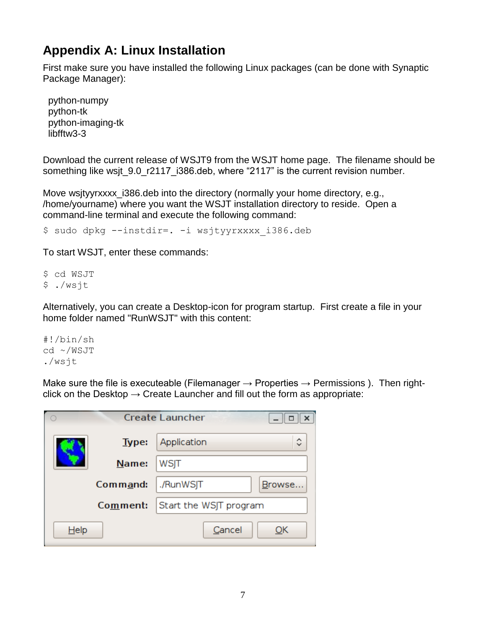### **Appendix A: Linux Installation**

First make sure you have installed the following Linux packages (can be done with Synaptic Package Manager):

 python-numpy python-tk python-imaging-tk libfftw3-3

Download the current release of WSJT9 from the WSJT home page. The filename should be something like wsjt 9.0 r2117 i386.deb, where "2117" is the current revision number.

Move wsjtyyrxxxx\_i386.deb into the directory (normally your home directory, e.g., /home/yourname) where you want the WSJT installation directory to reside. Open a command-line terminal and execute the following command:

\$ sudo dpkg --instdir=. -i wsjtyyrxxxx\_i386.deb

To start WSJT, enter these commands:

\$ cd WSJT \$ ./wsjt

Alternatively, you can create a Desktop-icon for program startup. First create a file in your home folder named "RunWSJT" with this content:

#!/bin/sh cd ~/WSJT ./wsjt

Make sure the file is executeable (Filemanager  $\rightarrow$  Properties  $\rightarrow$  Permissions ). Then rightclick on the Desktop  $\rightarrow$  Create Launcher and fill out the form as appropriate:

|         |              | <b>Create Launcher</b><br>×<br>□  |
|---------|--------------|-----------------------------------|
|         | <b>Type:</b> | $\hat{\mathbf{C}}$<br>Application |
|         | Name:        | WSJT                              |
|         | Command:     | ./RunWSJT<br>Browse               |
|         | Comment:     | Start the WSJT program            |
| $He$ lp |              | Cancel<br>ОΚ                      |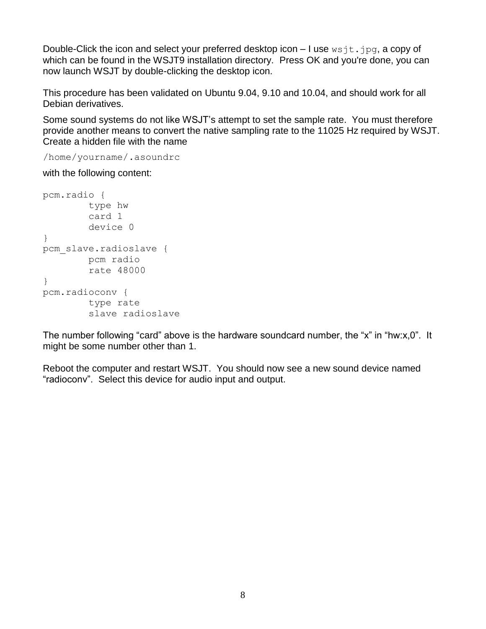Double-Click the icon and select your preferred desktop icon  $-1$  use  $wsjt.jpg$ , a copy of which can be found in the WSJT9 installation directory. Press OK and you're done, you can now launch WSJT by double-clicking the desktop icon.

This procedure has been validated on Ubuntu 9.04, 9.10 and 10.04, and should work for all Debian derivatives.

Some sound systems do not like WSJT's attempt to set the sample rate. You must therefore provide another means to convert the native sampling rate to the 11025 Hz required by WSJT. Create a hidden file with the name

/home/yourname/.asoundrc

with the following content:

```
pcm.radio {
         type hw
         card 1
         device 0
}
pcm_slave.radioslave {
         pcm radio
         rate 48000
}
pcm.radioconv {
         type rate
         slave radioslave
```
The number following "card" above is the hardware soundcard number, the "x" in "hw:x,0". It might be some number other than 1.

Reboot the computer and restart WSJT. You should now see a new sound device named "radioconv". Select this device for audio input and output.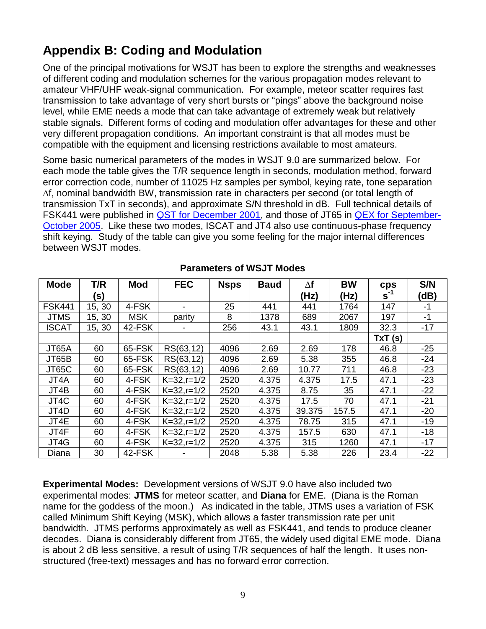# **Appendix B: Coding and Modulation**

One of the principal motivations for WSJT has been to explore the strengths and weaknesses of different coding and modulation schemes for the various propagation modes relevant to amateur VHF/UHF weak-signal communication. For example, meteor scatter requires fast transmission to take advantage of very short bursts or "pings" above the background noise level, while EME needs a mode that can take advantage of extremely weak but relatively stable signals. Different forms of coding and modulation offer advantages for these and other very different propagation conditions. An important constraint is that all modes must be compatible with the equipment and licensing restrictions available to most amateurs.

Some basic numerical parameters of the modes in WSJT 9.0 are summarized below. For each mode the table gives the T/R sequence length in seconds, modulation method, forward error correction code, number of 11025 Hz samples per symbol, keying rate, tone separation ∆f, nominal bandwidth BW, transmission rate in characters per second (or total length of transmission TxT in seconds), and approximate S/N threshold in dB. Full technical details of FSK441 were published in QST for [December 2001,](http://physics.princeton.edu/pulsar/K1JT/WSJT_QST_Dec2001.pdf) and those of JT65 in [QEX for September-](http://physics.princeton.edu/pulsar/K1JT/JT65.pdf)[October 2005.](http://physics.princeton.edu/pulsar/K1JT/JT65.pdf) Like these two modes, ISCAT and JT4 also use continuous-phase frequency shift keying. Study of the table can give you some feeling for the major internal differences between WSJT modes.

| <b>Mode</b>   | T/R    | <b>Mod</b> | <b>FEC</b>    | <b>Nsps</b> | <b>Baud</b> | $\Delta f$ | <b>BW</b> | cps             | S/N   |
|---------------|--------|------------|---------------|-------------|-------------|------------|-----------|-----------------|-------|
|               | (s)    |            |               |             |             | (Hz)       | (Hz)      | $s^{\text{-}1}$ | (dB)  |
| <b>FSK441</b> | 15, 30 | 4-FSK      |               | 25          | 441         | 441        | 1764      | 147             | -1    |
| <b>JTMS</b>   | 15, 30 | <b>MSK</b> | parity        | 8           | 1378        | 689        | 2067      | 197             | $-1$  |
| <b>ISCAT</b>  | 15, 30 | 42-FSK     |               | 256         | 43.1        | 43.1       | 1809      | 32.3            | $-17$ |
|               |        |            |               |             |             |            |           | TxT (s)         |       |
| JT65A         | 60     | 65-FSK     | RS(63,12)     | 4096        | 2.69        | 2.69       | 178       | 46.8            | $-25$ |
| JT65B         | 60     | 65-FSK     | RS(63,12)     | 4096        | 2.69        | 5.38       | 355       | 46.8            | $-24$ |
| JT65C         | 60     | 65-FSK     | RS(63,12)     | 4096        | 2.69        | 10.77      | 711       | 46.8            | $-23$ |
| JT4A          | 60     | 4-FSK      | $K=32,r=1/2$  | 2520        | 4.375       | 4.375      | 17.5      | 47.1            | $-23$ |
| JT4B          | 60     | 4-FSK      | $K=32, r=1/2$ | 2520        | 4.375       | 8.75       | 35        | 47.1            | $-22$ |
| JT4C          | 60     | 4-FSK      | $K=32, r=1/2$ | 2520        | 4.375       | 17.5       | 70        | 47.1            | $-21$ |
| JT4D          | 60     | 4-FSK      | $K=32, r=1/2$ | 2520        | 4.375       | 39.375     | 157.5     | 47.1            | $-20$ |
| JT4E          | 60     | 4-FSK      | $K=32, r=1/2$ | 2520        | 4.375       | 78.75      | 315       | 47.1            | $-19$ |
| JT4F          | 60     | 4-FSK      | $K=32, r=1/2$ | 2520        | 4.375       | 157.5      | 630       | 47.1            | $-18$ |
| JT4G          | 60     | 4-FSK      | $K=32,r=1/2$  | 2520        | 4.375       | 315        | 1260      | 47.1            | $-17$ |
| Diana         | 30     | 42-FSK     |               | 2048        | 5.38        | 5.38       | 226       | 23.4            | $-22$ |

#### **Parameters of WSJT Modes**

**Experimental Modes:** Development versions of WSJT 9.0 have also included two experimental modes: **JTMS** for meteor scatter, and **Diana** for EME. (Diana is the Roman name for the goddess of the moon.) As indicated in the table, JTMS uses a variation of FSK called Minimum Shift Keying (MSK), which allows a faster transmission rate per unit bandwidth. JTMS performs approximately as well as FSK441, and tends to produce cleaner decodes. Diana is considerably different from JT65, the widely used digital EME mode. Diana is about 2 dB less sensitive, a result of using T/R sequences of half the length. It uses nonstructured (free-text) messages and has no forward error correction.